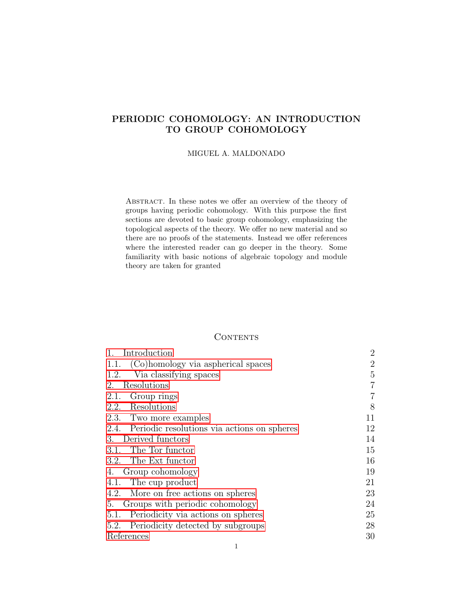# <span id="page-0-0"></span>PERIODIC COHOMOLOGY: AN INTRODUCTION TO GROUP COHOMOLOGY

## MIGUEL A. MALDONADO

Abstract. In these notes we offer an overview of the theory of groups having periodic cohomology. With this purpose the first sections are devoted to basic group cohomology, emphasizing the topological aspects of the theory. We offer no new material and so there are no proofs of the statements. Instead we offer references where the interested reader can go deeper in the theory. Some familiarity with basic notions of algebraic topology and module theory are taken for granted

# **CONTENTS**

| Introduction                                     | $\overline{2}$ |
|--------------------------------------------------|----------------|
| 1.1. (Co)homology via aspherical spaces          | $\overline{2}$ |
| Via classifying spaces<br>1.2.                   | 5              |
| 2. Resolutions                                   | 7              |
| 2.1. Group rings                                 | 7              |
| 2.2. Resolutions                                 | 8              |
| 2.3. Two more examples                           | 11             |
| 2.4. Periodic resolutions via actions on spheres | 12             |
| 3. Derived functors                              | 14             |
| 3.1. The Tor functor                             | 15             |
| 3.2. The Ext functor                             | 16             |
| 4. Group cohomology                              | 19             |
| 4.1. The cup product                             | 21             |
| 4.2. More on free actions on spheres             | 23             |
| 5. Groups with periodic cohomology               | 24             |
| Periodicity via actions on spheres<br>5.1.       | 25             |
| Periodicity detected by subgroups<br>5.2.        | 28             |
| References                                       | 30             |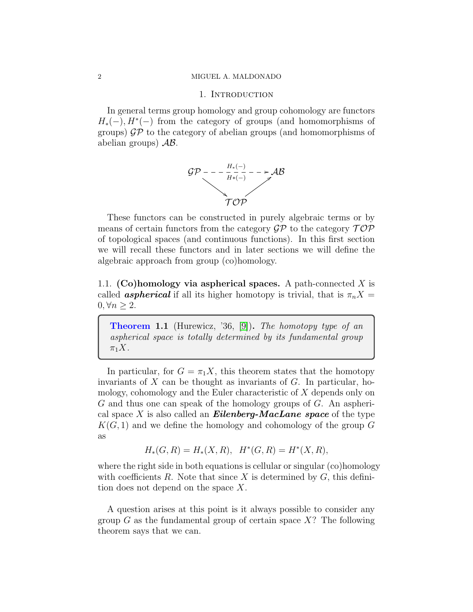#### <span id="page-1-0"></span>2 MIGUEL A. MALDONADO

## 1. INTRODUCTION

In general terms group homology and group cohomology are functors  $H<sub>*</sub>(-), H<sup>*</sup>(-)$  from the category of groups (and homomorphisms of groups)  $\mathcal{GP}$  to the category of abelian groups (and homomorphisms of abelian groups)  $AB$ .



These functors can be constructed in purely algebraic terms or by means of certain functors from the category  $\mathcal{GP}$  to the category  $\mathcal{TOP}$ of topological spaces (and continuous functions). In this first section we will recall these functors and in later sections we will define the algebraic approach from group (co)homology.

<span id="page-1-1"></span>1.1. (Co)homology via aspherical spaces. A path-connected  $X$  is called **aspherical** if all its higher homotopy is trivial, that is  $\pi_n X =$  $0, \forall n \geq 2.$ 

**Theorem 1.1** (Hurewicz, '36, [\[9\]](#page-29-1)). The homotopy type of an aspherical space is totally determined by its fundamental group  $\pi_1 X$ .

In particular, for  $G = \pi_1 X$ , this theorem states that the homotopy invariants of  $X$  can be thought as invariants of  $G$ . In particular, homology, cohomology and the Euler characteristic of X depends only on  $G$  and thus one can speak of the homology groups of  $G$ . An aspherical space X is also called an **Eilenberg-MacLane space** of the type  $K(G, 1)$  and we define the homology and cohomology of the group G as

$$
H_*(G, R) = H_*(X, R), \quad H^*(G, R) = H^*(X, R),
$$

where the right side in both equations is cellular or singular (co)homology with coefficients  $R$ . Note that since  $X$  is determined by  $G$ , this definition does not depend on the space  $X$ .

A question arises at this point is it always possible to consider any group  $G$  as the fundamental group of certain space  $X$ ? The following theorem says that we can.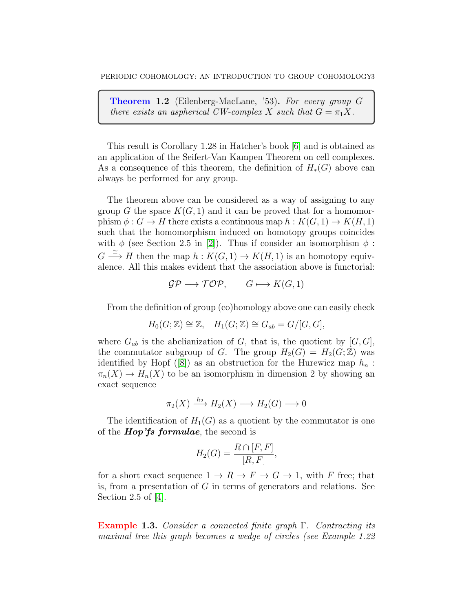Theorem 1.2 (Eilenberg-MacLane, '53). For every group G there exists an aspherical CW-complex X such that  $G = \pi_1 X$ .

This result is Corollary 1.28 in Hatcher's book [\[6\]](#page-29-2) and is obtained as an application of the Seifert-Van Kampen Theorem on cell complexes. As a consequence of this theorem, the definition of  $H_*(G)$  above can always be performed for any group.

The theorem above can be considered as a way of assigning to any group G the space  $K(G, 1)$  and it can be proved that for a homomorphism  $\phi: G \to H$  there exists a continuous map  $h: K(G, 1) \to K(H, 1)$ such that the homomorphism induced on homotopy groups coincides with  $\phi$  (see Section 2.5 in [\[2\]](#page-29-3)). Thus if consider an isomorphism  $\phi$ :  $G \stackrel{\cong}{\longrightarrow} H$  then the map  $h : K(G, 1) \to K(H, 1)$  is an homotopy equivalence. All this makes evident that the association above is functorial:

$$
\mathcal{GP} \longrightarrow \mathcal{TOP}, \qquad G \longmapsto K(G,1)
$$

From the definition of group (co)homology above one can easily check

$$
H_0(G; \mathbb{Z}) \cong \mathbb{Z}, \quad H_1(G; \mathbb{Z}) \cong G_{ab} = G/[G, G],
$$

where  $G_{ab}$  is the abelianization of G, that is, the quotient by  $[G, G]$ , the commutator subgroup of G. The group  $H_2(G) = H_2(G; \mathbb{Z})$  was identifiedby Hopf ([\[8\]](#page-29-4)) as an obstruction for the Hurewicz map  $h_n$ :  $\pi_n(X) \to H_n(X)$  to be an isomorphism in dimension 2 by showing an exact sequence

$$
\pi_2(X) \xrightarrow{h_2} H_2(X) \longrightarrow H_2(G) \longrightarrow 0
$$

The identification of  $H_1(G)$  as a quotient by the commutator is one of the **Hop'fs formulae**, the second is

$$
H_2(G) = \frac{R \cap [F, F]}{[R, F]},
$$

for a short exact sequence  $1 \to R \to F \to G \to 1$ , with F free; that is, from a presentation of  $G$  in terms of generators and relations. See Section 2.5 of [\[4\]](#page-29-5).

Example 1.3. Consider a connected finite graph  $\Gamma$ . Contracting its maximal tree this graph becomes a wedge of circles (see Example 1.22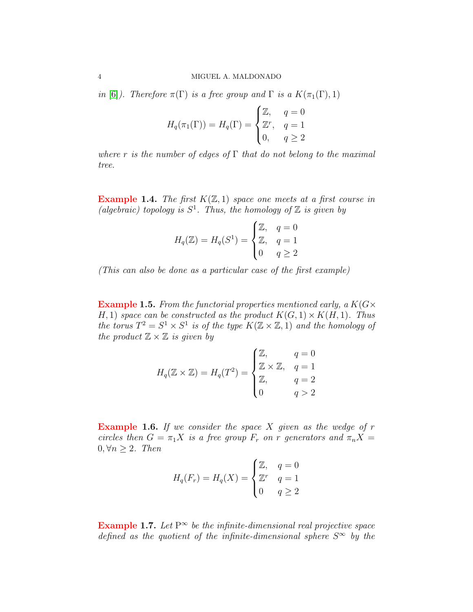in [\[6\]](#page-29-2)). Therefore  $\pi(\Gamma)$  is a free group and  $\Gamma$  is a  $K(\pi_1(\Gamma), 1)$ 

$$
H_q(\pi_1(\Gamma)) = H_q(\Gamma) = \begin{cases} \mathbb{Z}, & q = 0 \\ \mathbb{Z}^r, & q = 1 \\ 0, & q \ge 2 \end{cases}
$$

where r is the number of edges of  $\Gamma$  that do not belong to the maximal tree.

**Example 1.4.** The first  $K(\mathbb{Z}, 1)$  space one meets at a first course in (algebraic) topology is  $S^1$ . Thus, the homology of  $\mathbb Z$  is given by

$$
H_q(\mathbb{Z}) = H_q(S^1) = \begin{cases} \mathbb{Z}, & q = 0 \\ \mathbb{Z}, & q = 1 \\ 0 & q \ge 2 \end{cases}
$$

(This can also be done as a particular case of the first example)

**Example 1.5.** From the functorial properties mentioned early, a  $K(G \times$ H, 1) space can be constructed as the product  $K(G, 1) \times K(H, 1)$ . Thus the torus  $T^2 = S^1 \times S^1$  is of the type  $K(\mathbb{Z} \times \mathbb{Z}, 1)$  and the homology of the product  $\mathbb{Z} \times \mathbb{Z}$  is given by

$$
H_q(\mathbb{Z} \times \mathbb{Z}) = H_q(T^2) = \begin{cases} \mathbb{Z}, & q = 0 \\ \mathbb{Z} \times \mathbb{Z}, & q = 1 \\ \mathbb{Z}, & q = 2 \\ 0 & q > 2 \end{cases}
$$

**Example 1.6.** If we consider the space  $X$  given as the wedge of  $r$ circles then  $G = \pi_1 X$  is a free group  $F_r$  on r generators and  $\pi_n X =$  $0, \forall n \geq 2$ . Then

$$
H_q(F_r) = H_q(X) = \begin{cases} \mathbb{Z}, & q = 0\\ \mathbb{Z}^r & q = 1\\ 0 & q \ge 2 \end{cases}
$$

**Example 1.7.** Let  $P^{\infty}$  be the infinite-dimensional real projective space defined as the quotient of the infinite-dimensional sphere  $S^{\infty}$  by the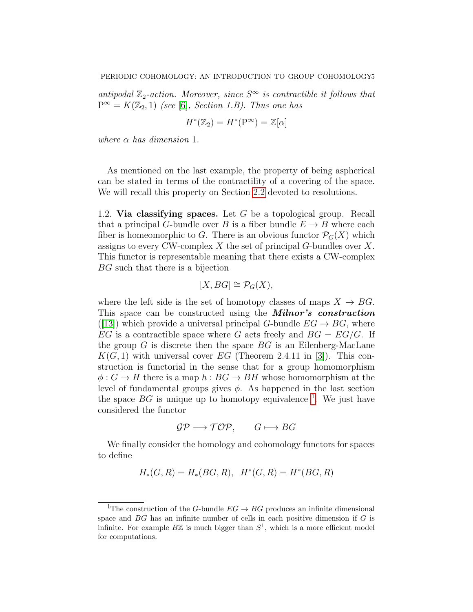antipodal  $\mathbb{Z}_2$ -action. Moreover, since  $S^{\infty}$  is contractible it follows that  $P^{\infty} = K(\mathbb{Z}_2, 1)$  (see [\[6\]](#page-29-2), Section 1.B). Thus one has

$$
H^*(\mathbb{Z}_2) = H^*(P^\infty) = \mathbb{Z}[\alpha]
$$

where  $\alpha$  has dimension 1.

As mentioned on the last example, the property of being aspherical can be stated in terms of the contractility of a covering of the space. We will recall this property on Section [2.2](#page-7-0) devoted to resolutions.

<span id="page-4-0"></span>1.2. Via classifying spaces. Let  $G$  be a topological group. Recall that a principal G-bundle over B is a fiber bundle  $E \to B$  where each fiber is homeomorphic to G. There is an obvious functor  $\mathcal{P}_G(X)$  which assigns to every CW-complex  $X$  the set of principal  $G$ -bundles over  $X$ . This functor is representable meaning that there exists a CW-complex BG such that there is a bijection

$$
[X,BG]\cong \mathcal{P}_G(X),
$$

where the left side is the set of homotopy classes of maps  $X \to BG$ . This space can be constructed using the **Milnor's construction** ([\[13\]](#page-29-6)) which provide a universal principal G-bundle  $EG \rightarrow BG$ , where EG is a contractible space where G acts freely and  $BG = EG/G$ . If the group  $G$  is discrete then the space  $BG$  is an Eilenberg-MacLane  $K(G, 1)$  with universal cover EG (Theorem 2.4.11 in [\[3\]](#page-29-7)). This construction is functorial in the sense that for a group homomorphism  $\phi: G \to H$  there is a map  $h: BG \to BH$  whose homomorphism at the level of fundamental groups gives  $\phi$ . As happened in the last section the space  $BG$  is unique up to homotopy equivalence <sup>[1](#page-4-1)</sup>. We just have considered the functor

$$
\mathcal{GP} \longrightarrow \mathcal{TOP}, \qquad G \longmapsto BG
$$

We finally consider the homology and cohomology functors for spaces to define

$$
H_*(G, R) = H_*(BG, R), \quad H^*(G, R) = H^*(BG, R)
$$

<span id="page-4-1"></span><sup>&</sup>lt;sup>1</sup>The construction of the G-bundle  $EG \to BG$  produces an infinite dimensional space and  $BG$  has an infinite number of cells in each positive dimension if  $G$  is infinite. For example  $B\mathbb{Z}$  is much bigger than  $S^1$ , which is a more efficient model for computations.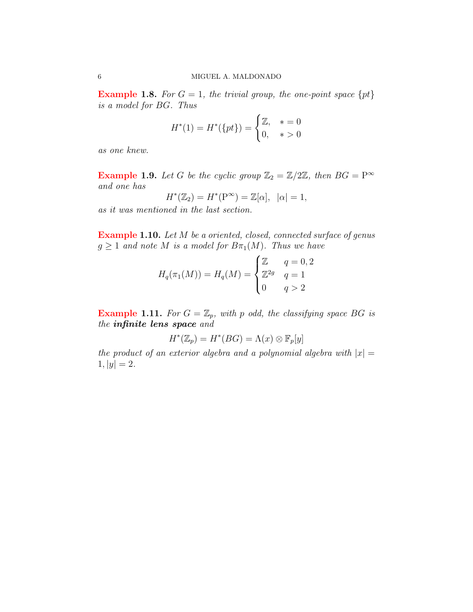**Example 1.8.** For  $G = 1$ , the trivial group, the one-point space  $\{pt\}$ is a model for BG. Thus

$$
H^*(1) = H^*(\{pt\}) = \begin{cases} \mathbb{Z}, & * = 0\\ 0, & * > 0 \end{cases}
$$

as one knew.

**Example 1.9.** Let G be the cyclic group  $\mathbb{Z}_2 = \mathbb{Z}/2\mathbb{Z}$ , then  $BG = P^{\infty}$ and one has

$$
H^*(\mathbb{Z}_2) = H^*(P^\infty) = \mathbb{Z}[\alpha], \ \ |\alpha| = 1,
$$

as it was mentioned in the last section.

Example 1.10. Let M be a oriented, closed, connected surface of genus  $g \geq 1$  and note M is a model for  $B_{\pi_1}(M)$ . Thus we have

$$
H_q(\pi_1(M)) = H_q(M) = \begin{cases} \mathbb{Z} & q = 0, 2 \\ \mathbb{Z}^{2g} & q = 1 \\ 0 & q > 2 \end{cases}
$$

**Example 1.11.** For  $G = \mathbb{Z}_p$ , with p odd, the classifying space BG is the infinite lens space and

$$
H^*(\mathbb{Z}_p) = H^*(BG) = \Lambda(x) \otimes \mathbb{F}_p[y]
$$

the product of an exterior algebra and a polynomial algebra with  $|x| =$  $1, |y| = 2.$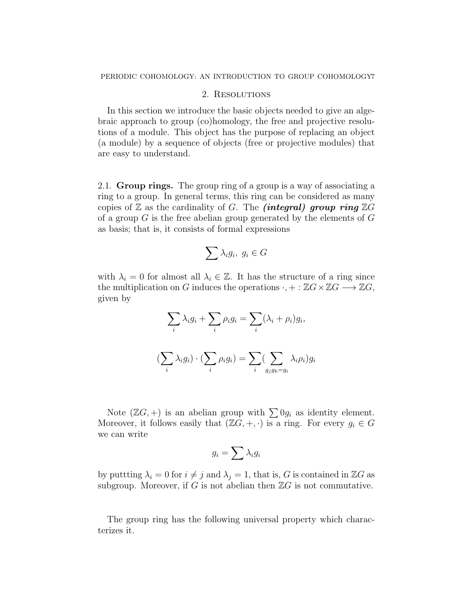## 2. RESOLUTIONS

<span id="page-6-0"></span>In this section we introduce the basic objects needed to give an algebraic approach to group (co)homology, the free and projective resolutions of a module. This object has the purpose of replacing an object (a module) by a sequence of objects (free or projective modules) that are easy to understand.

<span id="page-6-1"></span>2.1. Group rings. The group ring of a group is a way of associating a ring to a group. In general terms, this ring can be considered as many copies of  $\mathbb Z$  as the cardinality of G. The *(integral) group ring*  $\mathbb ZG$ of a group  $G$  is the free abelian group generated by the elements of  $G$ as basis; that is, it consists of formal expressions

$$
\sum \lambda_i g_i, \ g_i \in G
$$

with  $\lambda_i = 0$  for almost all  $\lambda_i \in \mathbb{Z}$ . It has the structure of a ring since the multiplication on G induces the operations  $\cdot$ , + :  $\mathbb{Z}G \times \mathbb{Z}G \longrightarrow \mathbb{Z}G$ , given by

$$
\sum_{i} \lambda_i g_i + \sum_{i} \rho_i g_i = \sum_{i} (\lambda_i + \rho_i) g_i,
$$
  

$$
(\sum_{i} \lambda_i g_i) \cdot (\sum_{i} \rho_i g_i) = \sum_{i} (\sum_{g_j g_k = g_i} \lambda_i \rho_i) g_i
$$

Note  $(\mathbb{Z}G, +)$  is an abelian group with  $\sum 0g_i$  as identity element. Moreover, it follows easily that  $(\mathbb{Z}G, +, \cdot)$  is a ring. For every  $g_i \in G$ we can write

$$
g_i = \sum \lambda_i g_i
$$

by puttting  $\lambda_i = 0$  for  $i \neq j$  and  $\lambda_j = 1$ , that is, G is contained in ZG as subgroup. Moreover, if G is not abelian then  $\mathbb{Z}G$  is not commutative.

The group ring has the following universal property which characterizes it.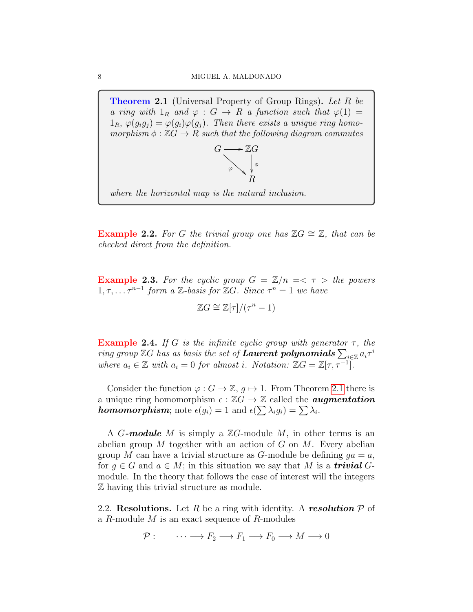<span id="page-7-1"></span>**Theorem 2.1** (Universal Property of Group Rings). Let R be a ring with  $1_R$  and  $\varphi : G \to R$  a function such that  $\varphi(1) =$  $1_R$ ,  $\varphi(g_i g_j) = \varphi(g_i) \varphi(g_j)$ . Then there exists a unique ring homomorphism  $\phi : \mathbb{Z}G \to R$  such that the following diagram commutes



where the horizontal map is the natural inclusion.

**Example 2.2.** For G the trivial group one has  $\mathbb{Z}G \cong \mathbb{Z}$ , that can be checked direct from the definition.

**Example 2.3.** For the cyclic group  $G = \mathbb{Z}/n \implies \tau >$  the powers  $1, \tau, \ldots \tau^{n-1}$  form a Z-basis for ZG. Since  $\tau^n = 1$  we have

$$
\mathbb{Z}G \cong \mathbb{Z}[\tau]/(\tau^n - 1)
$$

**Example 2.4.** If G is the infinite cyclic group with generator  $\tau$ , the ring group  $\mathbb{Z}G$  has as basis the set of **Laurent polynomials**  $\sum_{i\in\mathbb{Z}}a_i\tau^i$ where  $a_i \in \mathbb{Z}$  with  $a_i = 0$  for almost i. Notation:  $\mathbb{Z}G = \mathbb{Z}[\tau, \tau^{-1}]$ .

Consider the function  $\varphi: G \to \mathbb{Z}, g \mapsto 1$ . From Theorem [2.1](#page-7-1) there is a unique ring homomorphism  $\epsilon : \mathbb{Z}G \to \mathbb{Z}$  called the **augmentation homomorphism**; note  $\epsilon(g_i) = 1$  and  $\epsilon(\sum \lambda_i g_i) = \sum \lambda_i$ .

A G-module M is simply a  $\mathbb{Z}G$ -module M, in other terms is an abelian group  $M$  together with an action of  $G$  on  $M$ . Every abelian group M can have a trivial structure as G-module be defining  $qa = a$ , for  $g \in G$  and  $a \in M$ ; in this situation we say that M is a **trivial** Gmodule. In the theory that follows the case of interest will the integers Z having this trivial structure as module.

<span id="page-7-0"></span>2.2. Resolutions. Let R be a ring with identity. A resolution  $P$  of a R-module M is an exact sequence of R-modules

$$
\mathcal{P}: \qquad \cdots \longrightarrow F_2 \longrightarrow F_1 \longrightarrow F_0 \longrightarrow M \longrightarrow 0
$$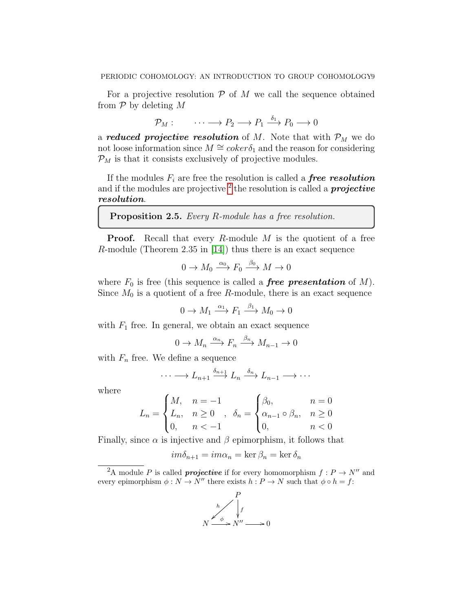For a projective resolution  $P$  of M we call the sequence obtained from  $P$  by deleting M

$$
\mathcal{P}_M: \qquad \cdots \longrightarrow P_2 \longrightarrow P_1 \stackrel{\delta_1}{\longrightarrow} P_0 \longrightarrow 0
$$

a **reduced projective resolution** of M. Note that with  $\mathcal{P}_M$  we do not loose information since  $M \cong \operatorname{coker} \delta_1$  and the reason for considering  $\mathcal{P}_M$  is that it consists exclusively of projective modules.

If the modules  $F_i$  are free the resolution is called a **free resolution** and if the modules are projective  $^2$  $^2$  the resolution is called a *projective* resolution.

## Proposition 2.5. Every R-module has a free resolution.

**Proof.** Recall that every R-module  $M$  is the quotient of a free R-module (Theorem 2.35 in [\[14\]](#page-29-8)) thus there is an exact sequence

$$
0 \to M_0 \xrightarrow{\alpha_0} F_0 \xrightarrow{\beta_0} M \to 0
$$

where  $F_0$  is free (this sequence is called a **free presentation** of M). Since  $M_0$  is a quotient of a free R-module, there is an exact sequence

$$
0 \to M_1 \xrightarrow{\alpha_1} F_1 \xrightarrow{\beta_1} M_0 \to 0
$$

with  $F_1$  free. In general, we obtain an exact sequence

$$
0 \to M_n \xrightarrow{\alpha_n} F_n \xrightarrow{\beta_n} M_{n-1} \to 0
$$

with  $F_n$  free. We define a sequence

$$
\cdots \longrightarrow L_{n+1} \xrightarrow{\delta_{n+1}} L_n \xrightarrow{\delta_n} L_{n-1} \longrightarrow \cdots
$$

where

$$
L_n = \begin{cases} M, & n = -1 \\ L_n, & n \ge 0 \\ 0, & n < -1 \end{cases}, \quad \delta_n = \begin{cases} \beta_0, & n = 0 \\ \alpha_{n-1} \circ \beta_n, & n \ge 0 \\ 0, & n < 0 \end{cases}
$$

Finally, since  $\alpha$  is injective and  $\beta$  epimorphism, it follows that

$$
im\delta_{n+1}=im\alpha_n=\ker\beta_n=\ker\delta_n
$$

<span id="page-8-0"></span><sup>&</sup>lt;sup>2</sup>A module P is called *projective* if for every homomorphism  $f: P \to N''$  and every epimorphism  $\phi: N \to N''$  there exists  $h: P \to N$  such that  $\phi \circ h = f$ :

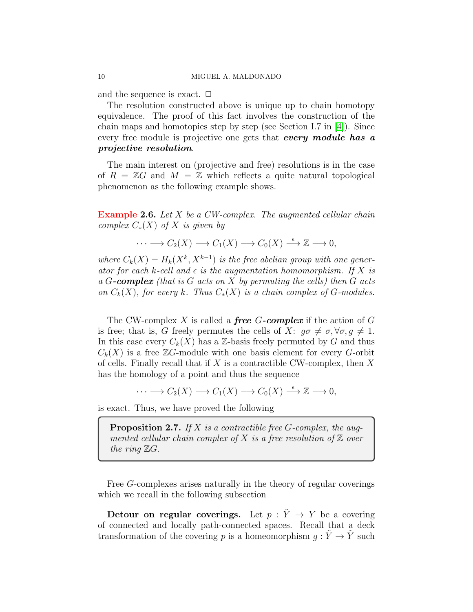and the sequence is exact.  $\Box$ 

The resolution constructed above is unique up to chain homotopy equivalence. The proof of this fact involves the construction of the chain maps and homotopies step by step (see Section I.7 in [\[4\]](#page-29-5)). Since every free module is projective one gets that every module has a projective resolution.

The main interest on (projective and free) resolutions is in the case of  $R = \mathbb{Z}G$  and  $M = \mathbb{Z}$  which reflects a quite natural topological phenomenon as the following example shows.

**Example 2.6.** Let X be a CW-complex. The augmented cellular chain complex  $C_*(X)$  of X is given by

$$
\cdots \longrightarrow C_2(X) \longrightarrow C_1(X) \longrightarrow C_0(X) \stackrel{\epsilon}{\longrightarrow} \mathbb{Z} \longrightarrow 0,
$$

where  $C_k(X) = H_k(X^k, X^{k-1})$  is the free abelian group with one generator for each k-cell and  $\epsilon$  is the augmentation homomorphism. If X is a G-complex (that is G acts on X by permuting the cells) then G acts on  $C_k(X)$ , for every k. Thus  $C_*(X)$  is a chain complex of G-modules.

The CW-complex X is called a **free G-complex** if the action of G is free; that is, G freely permutes the cells of X:  $g\sigma \neq \sigma, \forall \sigma, g \neq 1$ . In this case every  $C_k(X)$  has a Z-basis freely permuted by G and thus  $C_k(X)$  is a free ZG-module with one basis element for every G-orbit of cells. Finally recall that if  $X$  is a contractible CW-complex, then  $X$ has the homology of a point and thus the sequence

 $\cdots \longrightarrow C_2(X) \longrightarrow C_1(X) \longrightarrow C_0(X) \stackrel{\epsilon}{\longrightarrow} \mathbb{Z} \longrightarrow 0,$ 

is exact. Thus, we have proved the following

<span id="page-9-0"></span>**Proposition 2.7.** If X is a contractible free  $G$ -complex, the augmented cellular chain complex of  $X$  is a free resolution of  $\mathbb Z$  over the ring  $\mathbb{Z}G$ .

Free G-complexes arises naturally in the theory of regular coverings which we recall in the following subsection

Detour on regular coverings. Let  $p : \tilde{Y} \to Y$  be a covering of connected and locally path-connected spaces. Recall that a deck transformation of the covering p is a homeomorphism  $q : \tilde{Y} \to \tilde{Y}$  such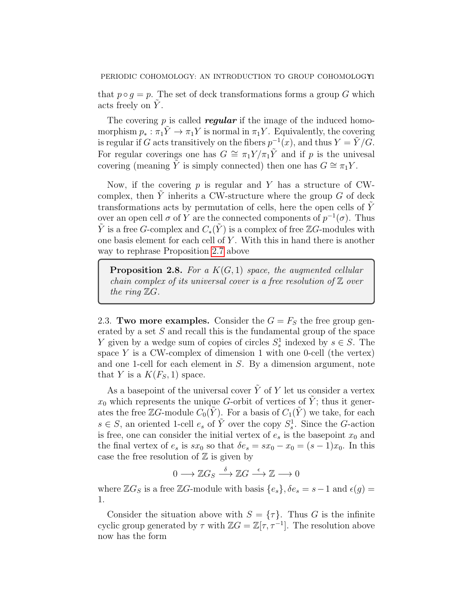that  $p \circ q = p$ . The set of deck transformations forms a group G which acts freely on Y.

The covering p is called **regular** if the image of the induced homomorphism  $p_* : \pi_1 \tilde{Y} \to \pi_1 Y$  is normal in  $\pi_1 Y$ . Equivalently, the covering is regular if G acts transitively on the fibers  $p^{-1}(x)$ , and thus  $Y = \tilde{Y}/G$ . For regular coverings one has  $G \cong \pi_1 Y/\pi_1 \tilde{Y}$  and if p is the univesal covering (meaning  $\tilde{Y}$  is simply connected) then one has  $G \cong \pi_1 Y$ .

Now, if the covering  $p$  is regular and Y has a structure of CWcomplex, then Y inherits a CW-structure where the group  $G$  of deck transformations acts by permutation of cells, here the open cells of  $Y$ over an open cell  $\sigma$  of Y are the connected components of  $p^{-1}(\sigma)$ . Thus  $\tilde{Y}$  is a free G-complex and  $C_*(\tilde{Y})$  is a complex of free ZG-modules with one basis element for each cell of  $Y$ . With this in hand there is another way to rephrase Proposition [2.7](#page-9-0) above

<span id="page-10-1"></span>**Proposition 2.8.** For a  $K(G, 1)$  space, the augmented cellular chain complex of its universal cover is a free resolution of  $Z$  over the ring  $\mathbb{Z}G$ .

<span id="page-10-0"></span>2.3. Two more examples. Consider the  $G = F<sub>S</sub>$  the free group generated by a set  $S$  and recall this is the fundamental group of the space Y given by a wedge sum of copies of circles  $S_s^1$  indexed by  $s \in S$ . The space  $Y$  is a CW-complex of dimension 1 with one 0-cell (the vertex) and one 1-cell for each element in S. By a dimension argument, note that Y is a  $K(F_S, 1)$  space.

As a basepoint of the universal cover  $\tilde{Y}$  of Y let us consider a vertex  $x_0$  which represents the unique G-orbit of vertices of Y; thus it generates the free ZG-module  $C_0(Y)$ . For a basis of  $C_1(Y)$  we take, for each  $s \in S$ , an oriented 1-cell  $e_s$  of  $\tilde{Y}$  over the copy  $S_s^1$ . Since the G-action is free, one can consider the initial vertex of  $e_s$  is the basepoint  $x_0$  and the final vertex of  $e_s$  is  $sx_0$  so that  $\delta e_s = sx_0 - x_0 = (s - 1)x_0$ . In this case the free resolution of  $\mathbb Z$  is given by

$$
0 \longrightarrow \mathbb{Z}G_S \stackrel{\delta}{\longrightarrow} \mathbb{Z}G \stackrel{\epsilon}{\longrightarrow} \mathbb{Z} \longrightarrow 0
$$

where  $\mathbb{Z}G_S$  is a free  $\mathbb{Z}G$ -module with basis  $\{e_s\}, \delta e_s = s - 1$  and  $\epsilon(g) =$ 1.

Consider the situation above with  $S = \{\tau\}$ . Thus G is the infinite cyclic group generated by  $\tau$  with  $\mathbb{Z}G = \mathbb{Z}[\tau, \tau^{-1}]$ . The resolution above now has the form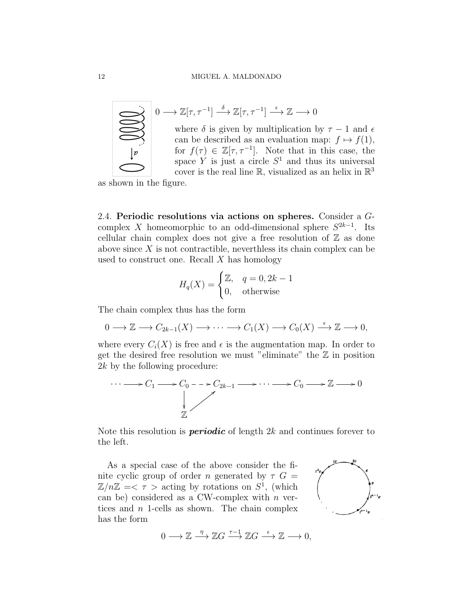

$$
0 \longrightarrow \mathbb{Z}[\tau, \tau^{-1}] \stackrel{\delta}{\longrightarrow} \mathbb{Z}[\tau, \tau^{-1}] \stackrel{\epsilon}{\longrightarrow} \mathbb{Z} \longrightarrow 0
$$
  
where  $\delta$  is given by multiplication by  $\tau - 1$  and  $\epsilon$   
can be described as an evaluation map:  $f \mapsto f(1)$ ,  
for  $f(\tau) \in \mathbb{Z}[\tau, \tau^{-1}]$ . Note that in this case, the  
space Y is just a circle  $S^1$  and thus its universal  
cover is the real line R, visualized as an helix in  $\mathbb{R}^3$ 

as shown in the figure.

<span id="page-11-0"></span>2.4. Periodic resolutions via actions on spheres. Consider a Gcomplex X homeomorphic to an odd-dimensional sphere  $S^{2k-1}$ . Its cellular chain complex does not give a free resolution of  $\mathbb Z$  as done above since  $X$  is not contractible, neverthless its chain complex can be used to construct one. Recall  $X$  has homology

$$
H_q(X) = \begin{cases} \mathbb{Z}, & q = 0, 2k - 1 \\ 0, & \text{otherwise} \end{cases}
$$

The chain complex thus has the form

$$
0 \longrightarrow \mathbb{Z} \longrightarrow C_{2k-1}(X) \longrightarrow \cdots \longrightarrow C_1(X) \longrightarrow C_0(X) \stackrel{\epsilon}{\longrightarrow} \mathbb{Z} \longrightarrow 0,
$$

where every  $C_i(X)$  is free and  $\epsilon$  is the augmentation map. In order to get the desired free resolution we must "eliminate" the  $\mathbb Z$  in position 2k by the following procedure:

$$
\cdots \longrightarrow C_1 \longrightarrow C_0 \longrightarrow C_{2k-1} \longrightarrow \cdots \longrightarrow C_0 \longrightarrow \mathbb{Z} \longrightarrow 0
$$

Note this resolution is *periodic* of length  $2k$  and continues forever to the left.

As a special case of the above consider the finite cyclic group of order *n* generated by  $\tau G =$  $\mathbb{Z}/n\mathbb{Z} \to \tau$  > acting by rotations on  $S^1$ , (which can be) considered as a CW-complex with  $n$  vertices and n 1-cells as shown. The chain complex has the form



$$
0 \longrightarrow \mathbb{Z} \xrightarrow{\eta} \mathbb{Z}G \xrightarrow{\tau-1} \mathbb{Z}G \xrightarrow{\epsilon} \mathbb{Z} \longrightarrow 0,
$$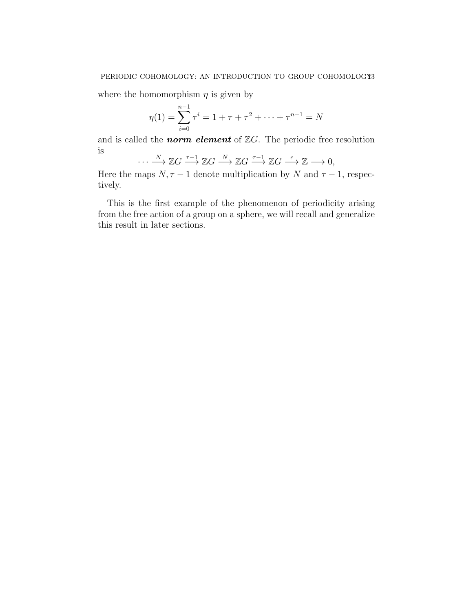where the homomorphism  $\eta$  is given by

$$
\eta(1) = \sum_{i=0}^{n-1} \tau^i = 1 + \tau + \tau^2 + \dots + \tau^{n-1} = N
$$

and is called the **norm element** of  $\mathbb{Z}G$ . The periodic free resolution is  $\mathbf{v}$ 

$$
\cdots \xrightarrow{N} \mathbb{Z}G \xrightarrow{\tau-1} \mathbb{Z}G \xrightarrow{N} \mathbb{Z}G \xrightarrow{\tau-1} \mathbb{Z}G \xrightarrow{\epsilon} \mathbb{Z} \longrightarrow 0,
$$

Here the maps  $N, \tau - 1$  denote multiplication by N and  $\tau - 1$ , respectively.

This is the first example of the phenomenon of periodicity arising from the free action of a group on a sphere, we will recall and generalize this result in later sections.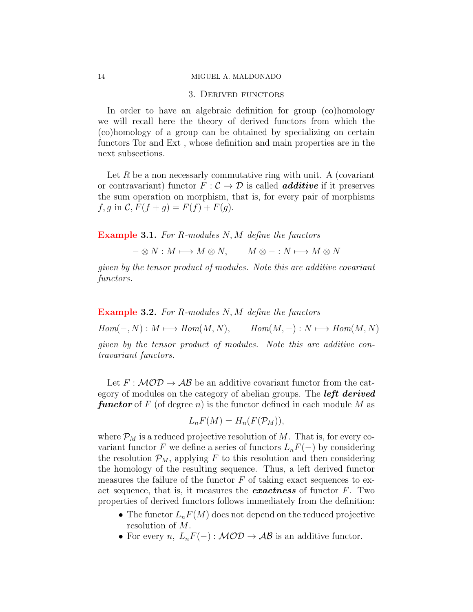## 3. Derived functors

<span id="page-13-0"></span>In order to have an algebraic definition for group (co)homology we will recall here the theory of derived functors from which the (co)homology of a group can be obtained by specializing on certain functors Tor and Ext , whose definition and main properties are in the next subsections.

Let R be a non necessarly commutative ring with unit. A (covariant or contravariant) functor  $F : \mathcal{C} \to \mathcal{D}$  is called **additive** if it preserves the sum operation on morphism, that is, for every pair of morphisms  $f, g \text{ in } C, F(f + g) = F(f) + F(g).$ 

Example 3.1. For R-modules N, M define the functors

 $- \otimes N : M \longmapsto M \otimes N, \qquad M \otimes - : N \longmapsto M \otimes N$ 

given by the tensor product of modules. Note this are additive covariant functors.

**Example 3.2.** For R-modules N, M define the functors  $Hom(-, N) : M \longmapsto Hom(M, N),$   $Hom(M, -) : N \longmapsto Hom(M, N)$ given by the tensor product of modules. Note this are additive contravariant functors.

Let  $F : \mathcal{MOD} \to \mathcal{AB}$  be an additive covariant functor from the category of modules on the category of abelian groups. The **left derived functor** of F (of degree n) is the functor defined in each module M as

$$
L_nF(M) = H_n(F(\mathcal{P}_M)),
$$

where  $\mathcal{P}_M$  is a reduced projective resolution of M. That is, for every covariant functor F we define a series of functors  $L_nF(-)$  by considering the resolution  $\mathcal{P}_M$ , applying F to this resolution and then considering the homology of the resulting sequence. Thus, a left derived functor measures the failure of the functor  $F$  of taking exact sequences to exact sequence, that is, it measures the **exactness** of functor  $F$ . Two properties of derived functors follows immediately from the definition:

- The functor  $L_nF(M)$  does not depend on the reduced projective resolution of M.
- For every n,  $L_nF(-): \mathcal{MOD} \to \mathcal{AB}$  is an additive functor.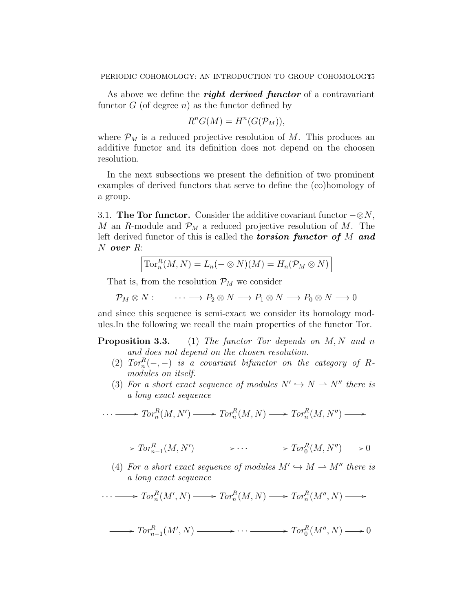As above we define the **right derived functor** of a contravariant functor  $G$  (of degree  $n$ ) as the functor defined by

$$
R^nG(M) = H^n(G(\mathcal{P}_M)),
$$

where  $\mathcal{P}_M$  is a reduced projective resolution of M. This produces an additive functor and its definition does not depend on the choosen resolution.

In the next subsections we present the definition of two prominent examples of derived functors that serve to define the (co)homology of a group.

<span id="page-14-0"></span>3.1. The Tor functor. Consider the additive covariant functor  $-\otimes N$ , M an R-module and  $\mathcal{P}_M$  a reduced projective resolution of M. The left derived functor of this is called the **torsion functor of**  $M$  and N over R:

| $\operatorname{Tor}^R_n(M,N) = L_n(- \otimes N)(M) = H_n(\mathcal{P}_M \otimes N)$ |  |  |  |
|------------------------------------------------------------------------------------|--|--|--|
|                                                                                    |  |  |  |

That is, from the resolution  $\mathcal{P}_M$  we consider

$$
\mathcal{P}_M \otimes N : \qquad \cdots \longrightarrow P_2 \otimes N \longrightarrow P_1 \otimes N \longrightarrow P_0 \otimes N \longrightarrow 0
$$

and since this sequence is semi-exact we consider its homology modules.In the following we recall the main properties of the functor Tor.

# **Proposition 3.3.** (1) The functor Tor depends on  $M, N$  and n and does not depend on the chosen resolution.

- (2)  $Tor_n^R(-,-)$  is a covariant bifunctor on the category of Rmodules on itself.
- (3) For a short exact sequence of modules  $N' \hookrightarrow N \longrightarrow N''$  there is a long exact sequence

$$
\cdots \longrightarrow Tor_n^R(M, N') \longrightarrow Tor_n^R(M, N) \longrightarrow Tor_n^R(M, N'') \longrightarrow
$$

$$
\longrightarrow Tor_{n-1}^{R}(M, N') \longrightarrow \cdots \longrightarrow Tor_{0}^{R}(M, N'') \longrightarrow 0
$$

(4) For a short exact sequence of modules  $M' \hookrightarrow M \longrightarrow M''$  there is a long exact sequence

$$
\cdots \longrightarrow Tor_n^R(M',N) \longrightarrow Tor_n^R(M,N) \longrightarrow Tor_n^R(M'',N) \longrightarrow
$$

$$
\longrightarrow Tor_{n-1}^{R}(M', N) \longrightarrow \cdots \longrightarrow Tor_{0}^{R}(M'', N) \longrightarrow 0
$$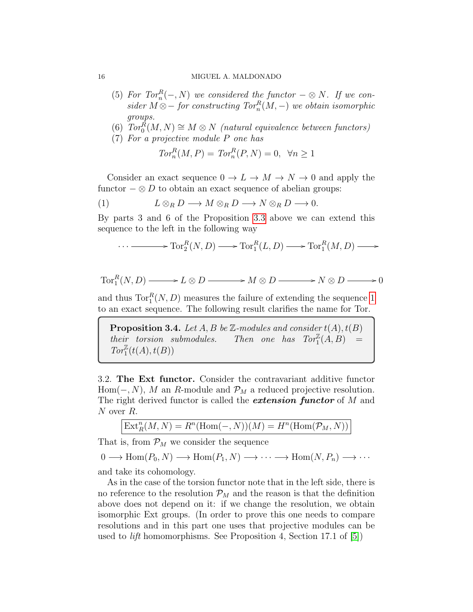#### 16 MIGUEL A. MALDONADO

(5) For  $Tor_n^R(-, N)$  we considered the functor  $-\otimes N$ . If we consider  $M \otimes -$  for constructing  $Tor_n^R(M, -)$  we obtain isomorphic groups.

(6) 
$$
Tor_0^{\mathcal{R}}(M,N) \cong M \otimes N
$$
 (natural equivalence between functors)

(7) For a projective module P one has

<span id="page-15-1"></span>
$$
Tor_n^R(M, P) = Tor_n^R(P, N) = 0, \ \forall n \ge 1
$$

Consider an exact sequence  $0 \to L \to M \to N \to 0$  and apply the functor  $-\otimes D$  to obtain an exact sequence of abelian groups:

(1) 
$$
L \otimes_R D \longrightarrow M \otimes_R D \longrightarrow N \otimes_R D \longrightarrow 0.
$$

By parts 3 and 6 of the Proposition [3.3](#page-0-0) above we can extend this sequence to the left in the following way

$$
\cdots \longrightarrow \operatorname{Tor}_2^R(N, D) \longrightarrow \operatorname{Tor}_1^R(L, D) \longrightarrow \operatorname{Tor}_1^R(M, D) \longrightarrow
$$

$$
Tor_1^R(N, D) \longrightarrow L \otimes D \longrightarrow M \otimes D \longrightarrow N \otimes D \longrightarrow 0
$$

and thus  $\text{Tor}_{1}^{R}(N,D)$  measures the failure of extending the sequence [1](#page-15-1) to an exact sequence. The following result clarifies the name for Tor.

**Proposition 3.4.** Let A, B be  $\mathbb{Z}$ -modules and consider  $t(A)$ ,  $t(B)$ their torsion submodules. Then one has  $Tor_1^{\mathbb{Z}}(A, B)$  =  $\operatorname{Tor}^{\mathbb{Z}}_1(t(A),t(B))$ 

<span id="page-15-0"></span>3.2. The Ext functor. Consider the contravariant additive functor Hom( $-, N$ ), M an R-module and  $\mathcal{P}_M$  a reduced projective resolution. The right derived functor is called the *extension functor* of  $M$  and N over R.

$$
\text{Ext}^n_R(M,N) = R^n(\text{Hom}(-,N))(M) = H^n(\text{Hom}(\mathcal{P}_M,N))
$$

That is, from  $\mathcal{P}_M$  we consider the sequence

$$
0 \longrightarrow \text{Hom}(P_0, N) \longrightarrow \text{Hom}(P_1, N) \longrightarrow \cdots \longrightarrow \text{Hom}(N, P_n) \longrightarrow \cdots
$$

and take its cohomology.

As in the case of the torsion functor note that in the left side, there is no reference to the resolution  $\mathcal{P}_M$  and the reason is that the definition above does not depend on it: if we change the resolution, we obtain isomorphic Ext groups. (In order to prove this one needs to compare resolutions and in this part one uses that projective modules can be used to lift homomorphisms. See Proposition 4, Section 17.1 of [\[5\]](#page-29-9))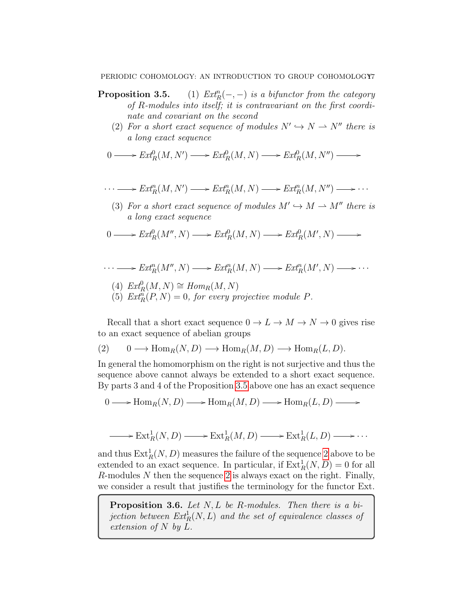## PERIODIC COHOMOLOGY: AN INTRODUCTION TO GROUP COHOMOLOGY7

- Proposition 3.5. (1)  $Ext_R^n(-,-)$  is a bifunctor from the category of R-modules into itself; it is contravariant on the first coordinate and covariant on the second
	- (2) For a short exact sequence of modules  $N' \hookrightarrow N \longrightarrow N''$  there is a long exact sequence

$$
0 \longrightarrow \operatorname{Ext}^0_R(M, N') \longrightarrow \operatorname{Ext}^0_R(M, N) \longrightarrow \operatorname{Ext}^0_R(M, N'') \longrightarrow
$$

$$
\cdots \longrightarrow Ext_R^n(M, N') \longrightarrow Ext_R^n(M, N) \longrightarrow Ext_R^n(M, N'') \longrightarrow \cdots
$$

(3) For a short exact sequence of modules  $M' \hookrightarrow M \longrightarrow M''$  there is a long exact sequence

$$
0 \longrightarrow \operatorname{Ext}^0_R(M'', N) \longrightarrow \operatorname{Ext}^0_R(M, N) \longrightarrow \operatorname{Ext}^0_R(M', N) \longrightarrow
$$

$$
\cdots \longrightarrow Ext_R^n(M'', N) \longrightarrow Ext_R^n(M, N) \longrightarrow Ext_R^n(M', N) \longrightarrow \cdots
$$

- (4)  $Ext_R^0(M, N) \cong Hom_R(M, N)$
- (5)  $\mathit{Ext}^n_R(P,N) = 0$ , for every projective module P.

Recall that a short exact sequence  $0 \to L \to M \to N \to 0$  gives rise to an exact sequence of abelian groups

<span id="page-16-0"></span>(2) 
$$
0 \longrightarrow \text{Hom}_R(N, D) \longrightarrow \text{Hom}_R(M, D) \longrightarrow \text{Hom}_R(L, D).
$$

In general the homomorphism on the right is not surjective and thus the sequence above cannot always be extended to a short exact sequence. By parts 3 and 4 of the Proposition [3.5](#page-0-0) above one has an exact sequence

 $0 \longrightarrow \text{Hom}_R(N, D) \longrightarrow \text{Hom}_R(M, D) \longrightarrow \text{Hom}_R(L, D) \longrightarrow$ 

$$
\longrightarrow \text{Ext}^1_R(N, D) \longrightarrow \text{Ext}^1_R(M, D) \longrightarrow \text{Ext}^1_R(L, D) \longrightarrow \cdots
$$

and thus  $\text{Ext}^1_R(N, D)$  measures the failure of the sequence [2](#page-16-0) above to be extended to an exact sequence. In particular, if  $\text{Ext}_R^1(N, D) = 0$  for all  $R$ -modules  $N$  then the sequence [2](#page-16-0) is always exact on the right. Finally, we consider a result that justifies the terminology for the functor Ext.

**Proposition 3.6.** Let  $N, L$  be R-modules. Then there is a bi- $\emph{jection between} \ \emph{Ext}^1_R(N,L) \ \emph{and the set of equivalence classes of}$ extension of N by L.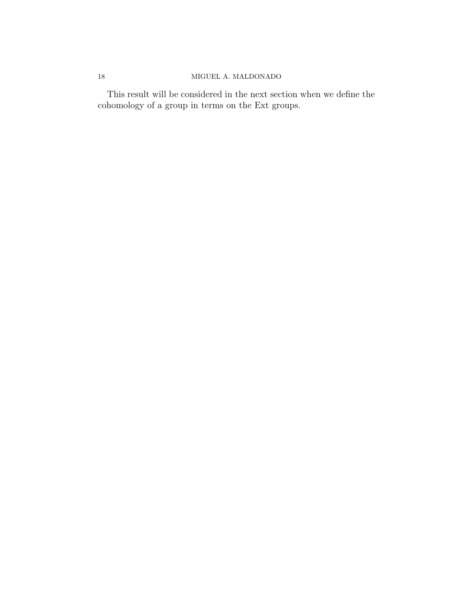## 18 MIGUEL A. MALDONADO

This result will be considered in the next section when we define the cohomology of a group in terms on the Ext groups.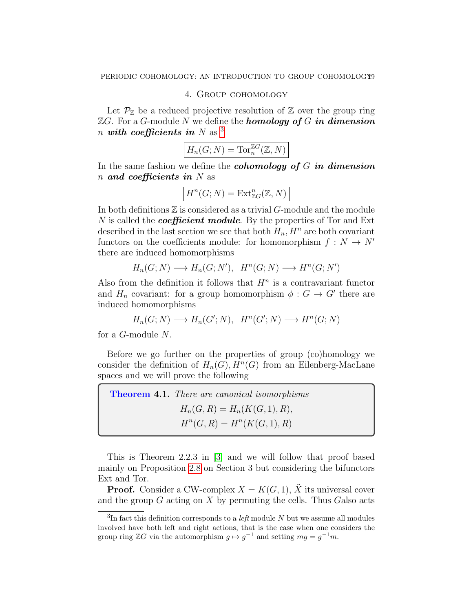## 4. Group cohomology

<span id="page-18-0"></span>Let  $\mathcal{P}_{\mathbb{Z}}$  be a reduced projective resolution of  $\mathbb{Z}$  over the group ring  $\mathbb{Z}G$ . For a G-module N we define the **homology of** G in dimension n with coefficients in N as  $3$ 

$$
H_n(G;N) = \text{Tor}_n^{\mathbb{Z}G}(\mathbb{Z},N)
$$

In the same fashion we define the *cohomology* of  $G$  in dimension n and coefficients in  $N$  as

$$
H^n(G;N) = \text{Ext}^n_{\mathbb{Z} G}(\mathbb{Z},N)
$$

In both definitions  $\mathbb Z$  is considered as a trivial  $G$ -module and the module N is called the *coefficient* module. By the properties of Tor and Ext described in the last section we see that both  $H_n$ ,  $H^n$  are both covariant functors on the coefficients module: for homomorphism  $f : N \to N'$ there are induced homomorphisms

$$
H_n(G;N) \longrightarrow H_n(G;N'), \quad H^n(G;N) \longrightarrow H^n(G;N')
$$

Also from the definition it follows that  $H<sup>n</sup>$  is a contravariant functor and  $H_n$  covariant: for a group homomorphism  $\phi: G \to G'$  there are induced homomorphisms

$$
H_n(G;N) \longrightarrow H_n(G';N), \quad H^n(G';N) \longrightarrow H^n(G;N)
$$

for a G-module N.

Before we go further on the properties of group (co)homology we consider the definition of  $H_n(G)$ ,  $H^n(G)$  from an Eilenberg-MacLane spaces and we will prove the following

| <b>Theorem 4.1.</b> There are canonical isomorphisms |
|------------------------------------------------------|
| $H_n(G, R) = H_n(K(G, 1), R),$                       |
| $H^n(G, R) = H^n(K(G, 1), R)$                        |

This is Theorem 2.2.3 in [\[3\]](#page-29-7) and we will follow that proof based mainly on Proposition [2.8](#page-10-1) on Section 3 but considering the bifunctors Ext and Tor.

**Proof.** Consider a CW-complex  $X = K(G, 1)$ , X its universal cover and the group  $G$  acting on  $X$  by permuting the cells. Thus Galso acts

<span id="page-18-1"></span><sup>&</sup>lt;sup>3</sup>In fact this definition corresponds to a *left* module N but we assume all modules involved have both left and right actions, that is the case when one considers the group ring  $\mathbb{Z}G$  via the automorphism  $g \mapsto g^{-1}$  and setting  $mg = g^{-1}m$ .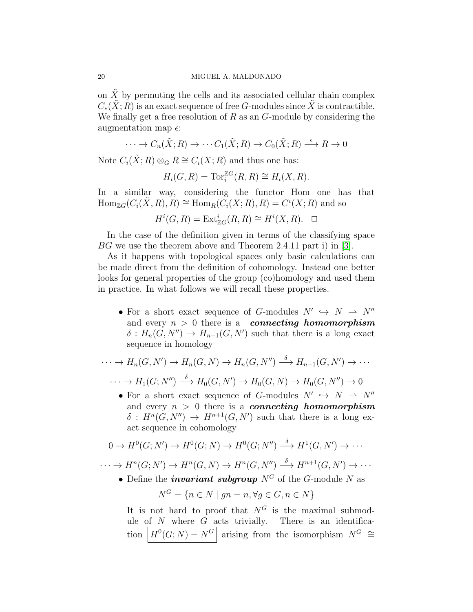on  $\tilde{X}$  by permuting the cells and its associated cellular chain complex  $C_*(X;R)$  is an exact sequence of free G-modules since X is contractible. We finally get a free resolution of  $R$  as an  $G$ -module by considering the augmentation map  $\epsilon$ :

$$
\cdots \to C_n(\tilde{X}; R) \to \cdots C_1(\tilde{X}; R) \to C_0(\tilde{X}; R) \xrightarrow{\epsilon} R \to 0
$$

Note  $C_i(\tilde{X};R) \otimes_G R \cong C_i(X;R)$  and thus one has:

$$
H_i(G, R) = \operatorname{Tor}_i^{\mathbb{Z}G}(R, R) \cong H_i(X, R).
$$

In a similar way, considering the functor Hom one has that  $\text{Hom}_{\mathbb{Z}G}(C_i(\tilde{X},R), R) \cong \text{Hom}_R(C_i(X;R), R) = C^i(X;R)$  and so

$$
H^i(G, R) = \text{Ext}^i_{\mathbb{Z}G}(R, R) \cong H^i(X, R). \quad \Box
$$

In the case of the definition given in terms of the classifying space BG we use the theorem above and Theorem 2.4.11 part i) in [\[3\]](#page-29-7).

As it happens with topological spaces only basic calculations can be made direct from the definition of cohomology. Instead one better looks for general properties of the group (co)homology and used them in practice. In what follows we will recall these properties.

• For a short exact sequence of G-modules  $N' \hookrightarrow N \longrightarrow N''$ and every  $n > 0$  there is a connecting homomorphism  $\delta: H_n(G, N'') \to H_{n-1}(G, N')$  such that there is a long exact sequence in homology

$$
\cdots \to H_n(G, N') \to H_n(G, N) \to H_n(G, N'') \xrightarrow{\delta} H_{n-1}(G, N') \to \cdots
$$

 $\cdots \to H_1(G; N'') \stackrel{\delta}{\longrightarrow} H_0(G, N') \to H_0(G, N) \to H_0(G, N'') \to 0$ 

• For a short exact sequence of G-modules  $N' \hookrightarrow N \longrightarrow N''$ and every  $n > 0$  there is a **connecting homomorphism**  $\delta: H^n(G, N'') \to H^{n+1}(G, N')$  such that there is a long exact sequence in cohomology

$$
0 \to H^0(G;N') \to H^0(G;N) \to H^0(G;N'') \xrightarrow{\delta} H^1(G,N') \to \cdots
$$

 $\cdots \to H^n(G; N') \to H^n(G, N) \to H^n(G, N'') \stackrel{\delta}{\longrightarrow} H^{n+1}(G, N') \to \cdots$ 

• Define the *invariant subgroup*  $N^G$  of the G-module N as

$$
N^G = \{ n \in N \mid gn = n, \forall g \in G, n \in N \}
$$

It is not hard to proof that  $N^G$  is the maximal submodule of  $N$  where  $G$  acts trivially. There is an identification  $H^0(G;N) = N^G$  arising from the isomorphism  $N^G \cong$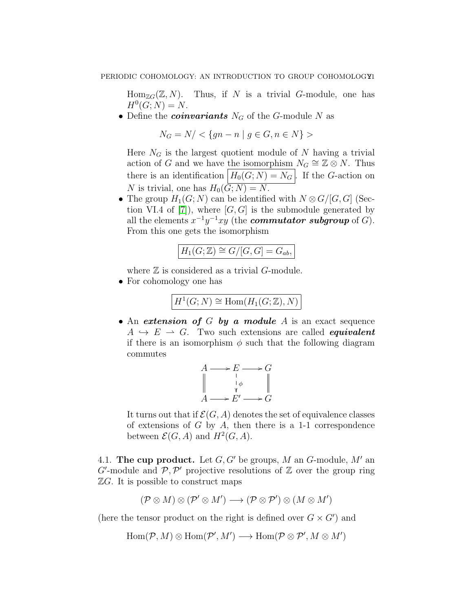$\text{Hom}_{\mathbb{Z}G}(\mathbb{Z}, N)$ . Thus, if N is a trivial G-module, one has  $H^0(G; N) = N.$ 

• Define the *coinvariants*  $N_G$  of the G-module N as

 $N_G = N / \langle \{qn - n \mid q \in G, n \in N\} \rangle$ 

Here  $N_G$  is the largest quotient module of N having a trivial action of G and we have the isomorphism  $N_G \cong \mathbb{Z} \otimes N$ . Thus there is an identification  $H_0(G; N) = N_G$ . If the G-action on N is trivial, one has  $H_0(\overline{G; N}) = N$ .

• The group  $H_1(G; N)$  can be identified with  $N \otimes G/[G, G]$  (Sec-tion VI.4 of [\[7\]](#page-29-10)), where  $[G, G]$  is the submodule generated by all the elements  $x^{-1}y^{-1}xy$  (the **commutator subgroup** of G). From this one gets the isomorphism

$$
H_1(G; \mathbb{Z}) \cong G/[G, G] = G_{ab},
$$

where  $\mathbb Z$  is considered as a trivial  $G$ -module.

• For cohomology one has

$$
H^1(G;N) \cong \text{Hom}(H_1(G; \mathbb{Z}), N)
$$

• An extension of G by a module A is an exact sequence  $A \leftrightarrow E \rightarrow G$ . Two such extensions are called *equivalent* if there is an isomorphism  $\phi$  such that the following diagram commutes

$$
A \longrightarrow E \longrightarrow G
$$
  
\n
$$
\parallel \qquad \qquad \downarrow \qquad \qquad \parallel
$$
  
\n
$$
A \longrightarrow E' \longrightarrow G
$$

It turns out that if  $\mathcal{E}(G, A)$  denotes the set of equivalence classes of extensions of  $G$  by  $A$ , then there is a 1-1 correspondence between  $\mathcal{E}(G, A)$  and  $H^2(G, A)$ .

<span id="page-20-0"></span>4.1. The cup product. Let  $G, G'$  be groups, M an G-module, M' an  $G'$ -module and  $\mathcal{P}, \mathcal{P}'$  projective resolutions of  $\mathbb Z$  over the group ring  $\mathbb{Z}G$ . It is possible to construct maps

$$
(\mathcal{P}\otimes M)\otimes(\mathcal{P}'\otimes M')\longrightarrow (\mathcal{P}\otimes\mathcal{P}')\otimes(M\otimes M')
$$

(here the tensor product on the right is defined over  $G \times G'$ ) and

$$
\operatorname{Hom}(\mathcal{P},M)\otimes\operatorname{Hom}(\mathcal{P}',M')\longrightarrow\operatorname{Hom}(\mathcal{P}\otimes\mathcal{P}',M\otimes M')
$$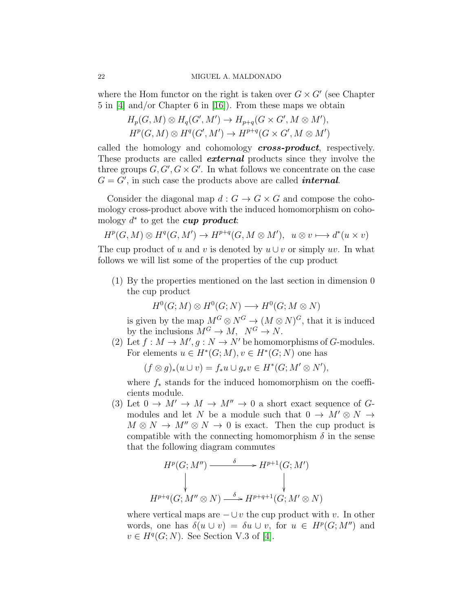where the Hom functor on the right is taken over  $G \times G'$  (see Chapter 5 in [\[4\]](#page-29-5) and/or Chapter 6 in [\[16\]](#page-29-11)). From these maps we obtain

$$
H_p(G, M) \otimes H_q(G', M') \to H_{p+q}(G \times G', M \otimes M'),
$$
  

$$
H^p(G, M) \otimes H^q(G', M') \to H^{p+q}(G \times G', M \otimes M')
$$

called the homology and cohomology **cross-product**, respectively. These products are called **external** products since they involve the three groups  $G, G', G \times G'$ . In what follows we concentrate on the case  $G = G'$ , in such case the products above are called *internal*.

Consider the diagonal map  $d: G \to G \times G$  and compose the cohomology cross-product above with the induced homomorphism on cohomology  $d^*$  to get the cup product:

$$
H^p(G, M) \otimes H^q(G, M') \to H^{p+q}(G, M \otimes M'), \ u \otimes v \mapsto d^*(u \times v)
$$

The cup product of u and v is denoted by  $u \cup v$  or simply uv. In what follows we will list some of the properties of the cup product

(1) By the properties mentioned on the last section in dimension 0 the cup product

 $H^0(G; M) \otimes H^0(G; N) \longrightarrow H^0(G; M \otimes N)$ 

is given by the map  $M^G \otimes N^G \to (M \otimes N)^G$ , that it is induced by the inclusions  $M^G \to M$ ,  $N^G \to N$ .

(2) Let  $f : M \to M', g : N \to N'$  be homomorphisms of G-modules. For elements  $u \in H^*(G;M), v \in H^*(G;N)$  one has

 $(f \otimes g)_*(u \cup v) = f_*u \cup g_*v \in H^*(G; M' \otimes N'),$ 

where  $f_*$  stands for the induced homomorphism on the coefficients module.

(3) Let  $0 \to M' \to M \to M'' \to 0$  a short exact sequence of Gmodules and let N be a module such that  $0 \to M' \otimes N \to$  $M \otimes N \to M'' \otimes N \to 0$  is exact. Then the cup product is compatible with the connecting homomorphism  $\delta$  in the sense that the following diagram commutes

$$
H^p(G; M'') \xrightarrow{\delta} H^{p+1}(G; M')
$$
  
\n
$$
\downarrow \qquad \qquad \downarrow
$$
  
\n
$$
H^{p+q}(G; M'' \otimes N) \xrightarrow{\delta} H^{p+q+1}(G; M' \otimes N)
$$

where vertical maps are  $-\cup v$  the cup product with v. In other words, one has  $\delta(u \cup v) = \delta u \cup v$ , for  $u \in H^p(G; M'')$  and  $v \in H^q(G; N)$ . See Section V.3 of [\[4\]](#page-29-5).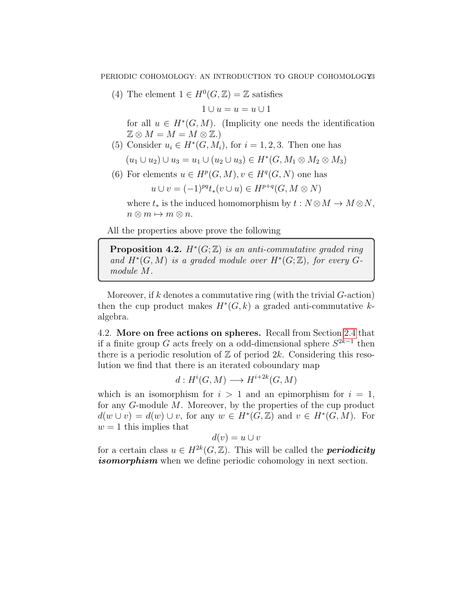(4) The element  $1 \in H^0(G, \mathbb{Z}) = \mathbb{Z}$  satisfies

$$
1 \cup u = u = u \cup 1
$$

for all  $u \in H^*(G, M)$ . (Implicity one needs the identification  $\mathbb{Z} \otimes M = M = M \otimes \mathbb{Z}$ .

(5) Consider  $u_i \in H^*(G, M_i)$ , for  $i = 1, 2, 3$ . Then one has

$$
(u_1 \cup u_2) \cup u_3 = u_1 \cup (u_2 \cup u_3) \in H^*(G, M_1 \otimes M_2 \otimes M_3)
$$

(6) For elements  $u \in H^p(G, M), v \in H^q(G, N)$  one has

$$
u \cup v = (-1)^{pq} t_*(v \cup u) \in H^{p+q}(G, M \otimes N)
$$

where  $t_*$  is the induced homomorphism by  $t : N \otimes M \to M \otimes N$ ,  $n \otimes m \mapsto m \otimes n$ .

All the properties above prove the following

**Proposition 4.2.**  $H^*(G; \mathbb{Z})$  is an anti-commutative graded ring and  $H^*(G,M)$  is a graded module over  $H^*(G;\mathbb{Z})$ , for every  $G$ module M.

Moreover, if k denotes a commutative ring (with the trivial  $G$ -action) then the cup product makes  $H^*(G, k)$  a graded anti-commutative kalgebra.

<span id="page-22-0"></span>4.2. More on free actions on spheres. Recall from Section [2.4](#page-11-0) that if a finite group G acts freely on a odd-dimensional sphere  $S^{2k-1}$  then there is a periodic resolution of  $\mathbb Z$  of period 2k. Considering this resolution we find that there is an iterated coboundary map

$$
d: H^i(G, M) \longrightarrow H^{i+2k}(G, M)
$$

which is an isomorphism for  $i > 1$  and an epimorphism for  $i = 1$ , for any G-module M. Moreover, by the properties of the cup product  $d(w \cup v) = d(w) \cup v$ , for any  $w \in H^*(G, \mathbb{Z})$  and  $v \in H^*(G, M)$ . For  $w = 1$  this implies that

$$
d(v) = u \cup v
$$

for a certain class  $u \in H^{2k}(G, \mathbb{Z})$ . This will be called the **periodicity** *isomorphism* when we define periodic cohomology in next section.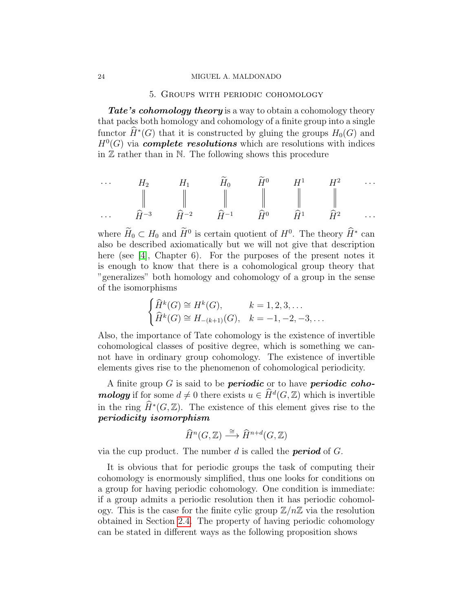#### <span id="page-23-0"></span>24 MIGUEL A. MALDONADO

## 5. Groups with periodic cohomology

**Tate's cohomology theory** is a way to obtain a cohomology theory that packs both homology and cohomology of a finite group into a single functor  $\hat{H}^*(G)$  that it is constructed by gluing the groups  $H_0(G)$  and  $H<sup>0</sup>(G)$  via **complete resolutions** which are resolutions with indices in  $\mathbb Z$  rather than in  $\mathbb N$ . The following shows this procedure

$$
\begin{array}{ccccccccc}\n\cdots & H_2 & H_1 & \widetilde{H}_0 & \widetilde{H}^0 & H^1 & H^2 & \cdots \\
\parallel & & \parallel & & \parallel & & \parallel & & \parallel \\
\cdots & \widehat{H}^{-3} & \widehat{H}^{-2} & \widehat{H}^{-1} & \widehat{H}^0 & \widehat{H}^1 & \widehat{H}^2 & \cdots\n\end{array}
$$

where  $H_0 \subset H_0$  and  $H^0$  is certain quotient of  $H^0$ . The theory  $\hat{H}^*$  can also be described axiomatically but we will not give that description here (see [\[4\]](#page-29-5), Chapter 6). For the purposes of the present notes it is enough to know that there is a cohomological group theory that "generalizes" both homology and cohomology of a group in the sense of the isomorphisms

$$
\begin{cases}\n\widehat{H}^k(G) \cong H^k(G), & k = 1, 2, 3, \dots \\
\widehat{H}^k(G) \cong H_{-(k+1)}(G), & k = -1, -2, -3, \dots\n\end{cases}
$$

Also, the importance of Tate cohomology is the existence of invertible cohomological classes of positive degree, which is something we cannot have in ordinary group cohomology. The existence of invertible elements gives rise to the phenomenon of cohomological periodicity.

A finite group  $G$  is said to be **periodic** or to have **periodic cohomology** if for some  $d \neq 0$  there exists  $u \in \widehat{H}^d(G, \mathbb{Z})$  which is invertible in the ring  $\widehat{H}^*(G, \mathbb{Z})$ . The existence of this element gives rise to the periodicity isomorphism

$$
\widehat{H}^n(G,\mathbb{Z}) \stackrel{\cong}{\longrightarrow} \widehat{H}^{n+d}(G,\mathbb{Z})
$$

via the cup product. The number d is called the **period** of  $G$ .

It is obvious that for periodic groups the task of computing their cohomology is enormously simplified, thus one looks for conditions on a group for having periodic cohomology. One condition is immediate: if a group admits a periodic resolution then it has periodic cohomology. This is the case for the finite cylic group  $\mathbb{Z}/n\mathbb{Z}$  via the resolution obtained in Section [2.4.](#page-11-0) The property of having periodic cohomology can be stated in different ways as the following proposition shows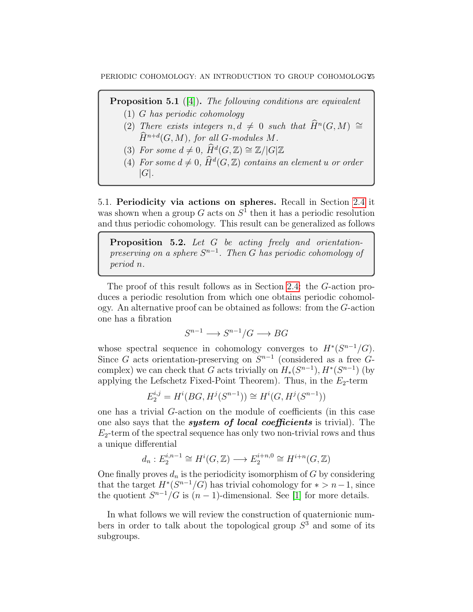**Proposition 5.1** ([\[4\]](#page-29-5)). The following conditions are equivalent

- (1) G has periodic cohomology
- (2) There exists integers  $n, d \neq 0$  such that  $\widehat{H}^n(G, M) \cong$  $\widehat{H}^{n+d}(G,M)$ , for all G-modules M.
- (3) For some  $d \neq 0$ ,  $\widehat{H}^d(G, \mathbb{Z}) \cong \mathbb{Z}/|G|\mathbb{Z}$
- (4) For some  $d \neq 0$ ,  $\widehat{H}^d(G, \mathbb{Z})$  contains an element u or order  $|G|$ .

<span id="page-24-0"></span>5.1. Periodicity via actions on spheres. Recall in Section [2.4](#page-11-0) it was shown when a group  $G$  acts on  $S<sup>1</sup>$  then it has a periodic resolution and thus periodic cohomology. This result can be generalized as follows

<span id="page-24-1"></span>Proposition 5.2. Let G be acting freely and orientationpreserving on a sphere  $S^{n-1}$ . Then G has periodic cohomology of period n.

The proof of this result follows as in Section [2.4:](#page-11-0) the G-action produces a periodic resolution from which one obtains periodic cohomology. An alternative proof can be obtained as follows: from the G-action one has a fibration

$$
S^{n-1} \longrightarrow S^{n-1}/G \longrightarrow BG
$$

whose spectral sequence in cohomology converges to  $H^*(S^{n-1}/G)$ . Since G acts orientation-preserving on  $S^{n-1}$  (considered as a free Gcomplex) we can check that G acts trivially on  $H_*(S^{n-1}), H^*(S^{n-1})$  (by applying the Lefschetz Fixed-Point Theorem). Thus, in the  $E_2$ -term

$$
E_2^{i,j} = H^i(BG, H^j(S^{n-1})) \cong H^i(G, H^j(S^{n-1}))
$$

one has a trivial G-action on the module of coefficients (in this case one also says that the **system of local coefficients** is trivial). The  $E_2$ -term of the spectral sequence has only two non-trivial rows and thus a unique differential

$$
d_n: E_2^{i,n-1} \cong H^i(G, \mathbb{Z}) \longrightarrow E_2^{i+n,0} \cong H^{i+n}(G, \mathbb{Z})
$$

One finally proves  $d_n$  is the periodicity isomorphism of G by considering that the target  $H^*(S^{n-1}/G)$  has trivial cohomology for  $* > n-1$ , since the quotient  $S^{n-1}/G$  is  $(n-1)$ -dimensional. See [\[1\]](#page-29-12) for more details.

In what follows we will review the construction of quaternionic numbers in order to talk about the topological group  $S<sup>3</sup>$  and some of its subgroups.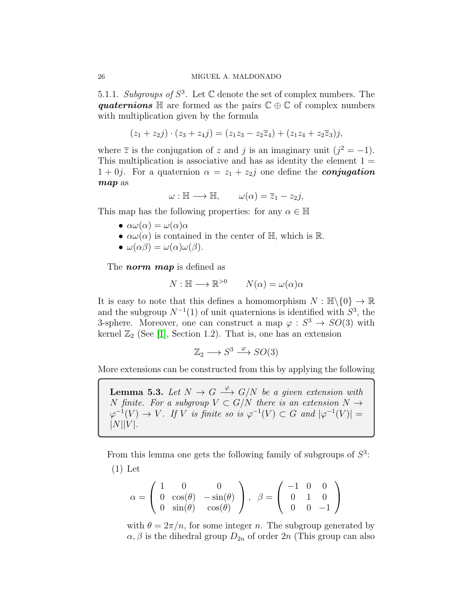5.1.1. Subgroups of  $S^3$ . Let  $\mathbb C$  denote the set of complex numbers. The quaternions  $\mathbb H$  are formed as the pairs  $\mathbb C \oplus \mathbb C$  of complex numbers with multiplication given by the formula

$$
(z_1 + z_2 j) \cdot (z_3 + z_4 j) = (z_1 z_3 - z_2 \overline{z}_4) + (z_1 z_4 + z_2 \overline{z}_3) j,
$$

where  $\overline{z}$  is the conjugation of z and j is an imaginary unit  $(j^2 = -1)$ . This multiplication is associative and has as identity the element  $1 =$  $1 + 0j$ . For a quaternion  $\alpha = z_1 + z_2j$  one define the **conjugation** map as

$$
\omega : \mathbb{H} \longrightarrow \mathbb{H}, \qquad \omega(\alpha) = \overline{z}_1 - z_2 j,
$$

This map has the following properties: for any  $\alpha \in \mathbb{H}$ 

- $\alpha\omega(\alpha) = \omega(\alpha)\alpha$
- $\alpha\omega(\alpha)$  is contained in the center of H, which is R.

• 
$$
\omega(\alpha\beta) = \omega(\alpha)\omega(\beta).
$$

The *norm* map is defined as

$$
N: \mathbb{H} \longrightarrow \mathbb{R}^{>0} \qquad N(\alpha) = \omega(\alpha)\alpha
$$

It is easy to note that this defines a homomorphism  $N : \mathbb{H}\backslash\{0\} \to \mathbb{R}$ and the subgroup  $N^{-1}(1)$  of unit quaternions is identified with  $S^3$ , the 3-sphere. Moreover, one can construct a map  $\varphi : S^3 \to SO(3)$  with kernel  $\mathbb{Z}_2$  (See [\[1\]](#page-29-12), Section 1.2). That is, one has an extension

$$
\mathbb{Z}_2 \longrightarrow S^3 \stackrel{\varphi}{\longrightarrow} SO(3)
$$

More extensions can be constructed from this by applying the following

**Lemma 5.3.** Let  $N \to G \xrightarrow{\varphi} G/N$  be a given extension with N finite. For a subgroup  $V \subset G/N$  there is an extension  $N \to$  $\varphi^{-1}(V) \to V$ . If V is finite so is  $\varphi^{-1}(V) \subset G$  and  $|\varphi^{-1}(V)| =$  $|N||V|$ .

From this lemma one gets the following family of subgroups of  $S<sup>3</sup>$ : (1) Let

$$
\alpha = \begin{pmatrix} 1 & 0 & 0 \\ 0 & \cos(\theta) & -\sin(\theta) \\ 0 & \sin(\theta) & \cos(\theta) \end{pmatrix}, \ \beta = \begin{pmatrix} -1 & 0 & 0 \\ 0 & 1 & 0 \\ 0 & 0 & -1 \end{pmatrix}
$$

with  $\theta = 2\pi/n$ , for some integer n. The subgroup generated by  $\alpha, \beta$  is the dihedral group  $D_{2n}$  of order  $2n$  (This group can also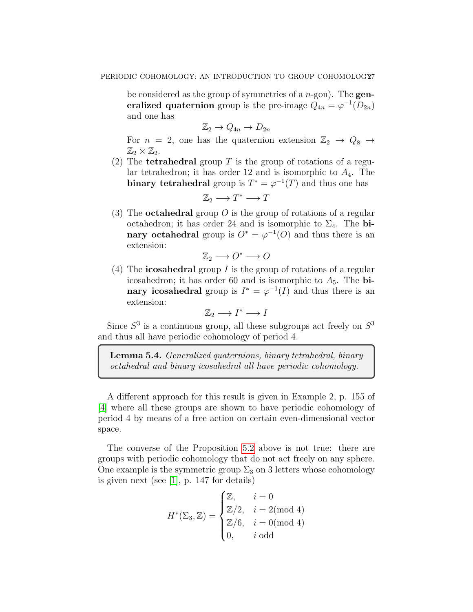be considered as the group of symmetries of a  $n$ -gon). The **gen**eralized quaternion group is the pre-image  $Q_{4n} = \varphi^{-1}(D_{2n})$ and one has

$$
\mathbb{Z}_2 \to Q_{4n} \to D_{2n}
$$

For  $n = 2$ , one has the quaternion extension  $\mathbb{Z}_2 \rightarrow Q_8 \rightarrow$  $\mathbb{Z}_2\times \mathbb{Z}_2$ .

(2) The **tetrahedral** group T is the group of rotations of a regular tetrahedron; it has order 12 and is isomorphic to  $A_4$ . The binary tetrahedral group is  $T^* = \varphi^{-1}(T)$  and thus one has

$$
\mathbb{Z}_2 \longrightarrow T^* \longrightarrow T
$$

(3) The **octahedral** group O is the group of rotations of a regular octahedron; it has order 24 and is isomorphic to  $\Sigma_4$ . The binary octahedral group is  $O^* = \varphi^{-1}(O)$  and thus there is an extension:

$$
\mathbb{Z}_2 \longrightarrow O^* \longrightarrow O
$$

(4) The **icosahedral** group I is the group of rotations of a regular icosahedron; it has order 60 and is isomorphic to  $A_5$ . The **bi**nary icosahedral group is  $I^* = \varphi^{-1}(I)$  and thus there is an extension:

$$
\mathbb{Z}_2 \longrightarrow I^* \longrightarrow I
$$

Since  $S^3$  is a continuous group, all these subgroups act freely on  $S^3$ and thus all have periodic cohomology of period 4.

Lemma 5.4. Generalized quaternions, binary tetrahedral, binary octahedral and binary icosahedral all have periodic cohomology.

A different approach for this result is given in Example 2, p. 155 of [\[4\]](#page-29-5) where all these groups are shown to have periodic cohomology of period 4 by means of a free action on certain even-dimensional vector space.

The converse of the Proposition [5.2](#page-24-1) above is not true: there are groups with periodic cohomology that do not act freely on any sphere. One example is the symmetric group  $\Sigma_3$  on 3 letters whose cohomology is given next (see [\[1\]](#page-29-12), p. 147 for details)

$$
H^*(\Sigma_3, \mathbb{Z}) = \begin{cases} \mathbb{Z}, & i = 0 \\ \mathbb{Z}/2, & i = 2 \text{(mod 4)} \\ \mathbb{Z}/6, & i = 0 \text{(mod 4)} \\ 0, & i \text{ odd} \end{cases}
$$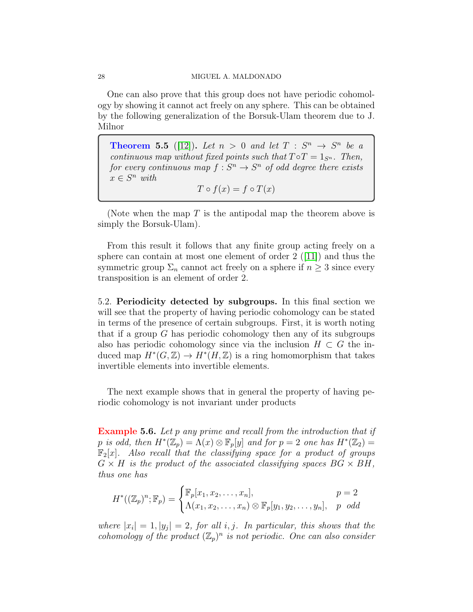One can also prove that this group does not have periodic cohomology by showing it cannot act freely on any sphere. This can be obtained by the following generalization of the Borsuk-Ulam theorem due to J. Milnor

**Theorem 5.5** ([\[12\]](#page-29-13)). Let  $n > 0$  and let  $T : S^n \rightarrow S^n$  be a continuous map without fixed points such that  $T \circ T = 1_{S^n}$ . Then, for every continuous map  $f: S^n \to S^n$  of odd degree there exists  $x \in S^n$  with  $T \circ f(x) = f \circ T(x)$ 

(Note when the map  $T$  is the antipodal map the theorem above is simply the Borsuk-Ulam).

From this result it follows that any finite group acting freely on a sphere can contain at most one element of order  $2$  ([\[11\]](#page-29-14)) and thus the symmetric group  $\Sigma_n$  cannot act freely on a sphere if  $n \geq 3$  since every transposition is an element of order 2.

<span id="page-27-0"></span>5.2. Periodicity detected by subgroups. In this final section we will see that the property of having periodic cohomology can be stated in terms of the presence of certain subgroups. First, it is worth noting that if a group  $G$  has periodic cohomology then any of its subgroups also has periodic cohomology since via the inclusion  $H \subset G$  the induced map  $H^*(G, \mathbb{Z}) \to H^*(H, \mathbb{Z})$  is a ring homomorphism that takes invertible elements into invertible elements.

The next example shows that in general the property of having periodic cohomology is not invariant under products

**Example 5.6.** Let p any prime and recall from the introduction that if p is odd, then  $H^*(\mathbb{Z}_p) = \Lambda(x) \otimes \mathbb{F}_p[y]$  and for  $p = 2$  one has  $H^*(\mathbb{Z}_2) =$  $\mathbb{F}_2[x]$ . Also recall that the classifying space for a product of groups  $G \times H$  is the product of the associated classifying spaces  $BG \times BH$ , thus one has

$$
H^*((\mathbb{Z}_p)^n; \mathbb{F}_p) = \begin{cases} \mathbb{F}_p[x_1, x_2, \dots, x_n], & p = 2 \\ \Lambda(x_1, x_2, \dots, x_n) \otimes \mathbb{F}_p[y_1, y_2, \dots, y_n], & p \text{ odd} \end{cases}
$$

where  $|x_i|=1, |y_j|=2$ , for all i, j. In particular, this shows that the cohomology of the product  $(\mathbb{Z}_p)^n$  is not periodic. One can also consider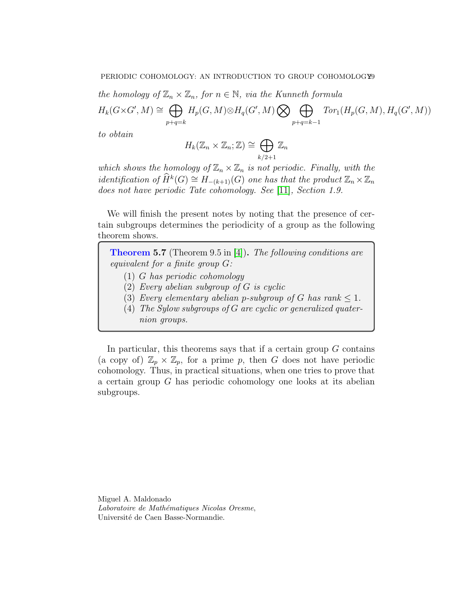the homology of  $\mathbb{Z}_n \times \mathbb{Z}_n$ , for  $n \in \mathbb{N}$ , via the Kunneth formula

$$
H_k(G \times G', M) \cong \bigoplus_{p+q=k} H_p(G, M) \otimes H_q(G', M) \bigotimes \bigoplus_{p+q=k-1} Tor_1(H_p(G, M), H_q(G', M))
$$

to obtain

$$
H_k(\mathbb{Z}_n\times\mathbb{Z}_n;\mathbb{Z})\cong\bigoplus_{k/2+1}\mathbb{Z}_n
$$

which shows the homology of  $\mathbb{Z}_n \times \mathbb{Z}_n$  is not periodic. Finally, with the identification of  $\widehat{H}^k(G) \cong H_{-(k+1)}(G)$  one has that the product  $\mathbb{Z}_n \times \mathbb{Z}_n$ does not have periodic Tate cohomology. See [\[11\]](#page-29-14), Section 1.9.

We will finish the present notes by noting that the presence of certain subgroups determines the periodicity of a group as the following theorem shows.

**Theorem 5.7** (Theorem 9.5 in [\[4\]](#page-29-5)). The following conditions are equivalent for a finite group G:

- (1) G has periodic cohomology
- $(2)$  Every abelian subgroup of G is cyclic
- (3) Every elementary abelian p-subgroup of G has rank  $\leq 1$ .
- (4) The Sylow subgroups of G are cyclic or generalized quaternion groups.

In particular, this theorems says that if a certain group  $G$  contains (a copy of)  $\mathbb{Z}_p \times \mathbb{Z}_p$ , for a prime p, then G does not have periodic cohomology. Thus, in practical situations, when one tries to prove that a certain group G has periodic cohomology one looks at its abelian subgroups.

Miguel A. Maldonado Laboratoire de Mathématiques Nicolas Oresme, Université de Caen Basse-Normandie.